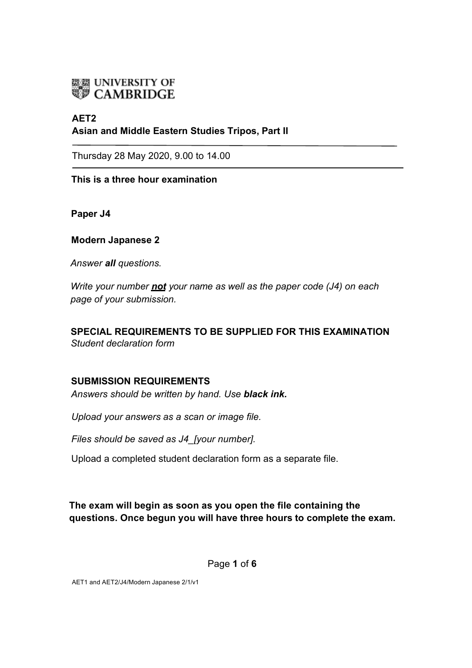

# **AET2 Asian and Middle Eastern Studies Tripos, Part II**

Thursday 28 May 2020, 9.00 to 14.00

**This is a three hour examination**

**Paper J4** 

**Modern Japanese 2**

*Answer all questions.* 

*Write your number not your name as well as the paper code (J4) on each page of your submission.* 

**SPECIAL REQUIREMENTS TO BE SUPPLIED FOR THIS EXAMINATION** *Student declaration form*

## **SUBMISSION REQUIREMENTS**

*Answers should be written by hand. Use black ink.*

*Upload your answers as a scan or image file.*

*Files should be saved as J4\_[your number].* 

Upload a completed student declaration form as a separate file.

**The exam will begin as soon as you open the file containing the questions. Once begun you will have three hours to complete the exam.** 

Page **1** of **6** 

AET1 and AET2/J4/Modern Japanese 2/1/v1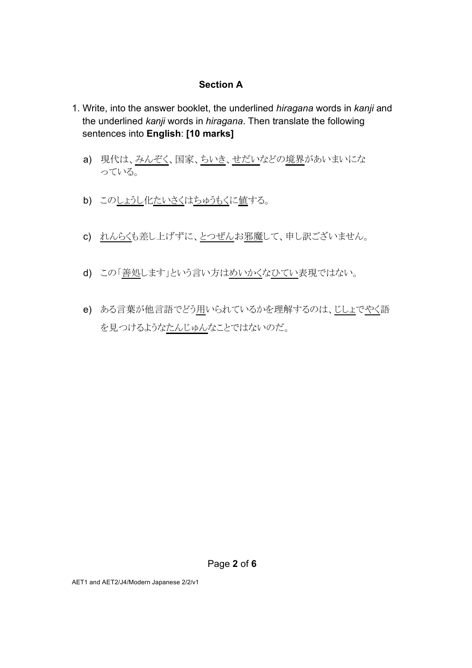#### **Section A**

- 1. Write, into the answer booklet, the underlined *hiragana* words in *kanji* and the underlined *kanji* words in *hiragana*. Then translate the following sentences into **English**: **[10 marks]**
	- a) 現代は、みんぞく、国家、ちいき、せだいなどの境界があいまいにな っている。
	- b) このしょうし化たいさくはちゅうもくに値する。
	- c) れんらくも差し上げずに、とつぜんお邪魔して、申し訳ございません。
	- d) この「善処します」という言い方はめいかくなひてい表現ではない。
	- e) ある言葉が他言語でどう用いられているかを理解するのは、じしょでやく語 を見つけるようなたんじゅんなことではないのだ。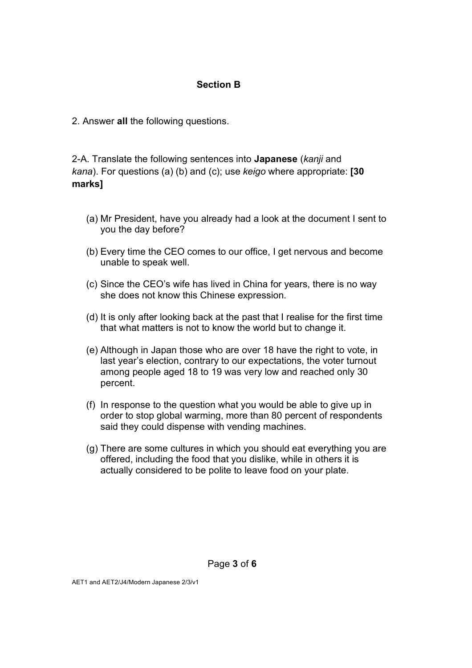## **Section B**

2. Answer **all** the following questions.

2-A. Translate the following sentences into **Japanese** (*kanji* and *kana*). For questions (a) (b) and (c); use *keigo* where appropriate: **[30 marks]**

- (a) Mr President, have you already had a look at the document I sent to you the day before?
- (b) Every time the CEO comes to our office, I get nervous and become unable to speak well.
- (c) Since the CEO's wife has lived in China for years, there is no way she does not know this Chinese expression.
- (d) It is only after looking back at the past that I realise for the first time that what matters is not to know the world but to change it.
- (e) Although in Japan those who are over 18 have the right to vote, in last year's election, contrary to our expectations, the voter turnout among people aged 18 to 19 was very low and reached only 30 percent.
- (f) In response to the question what you would be able to give up in order to stop global warming, more than 80 percent of respondents said they could dispense with vending machines.
- (g) There are some cultures in which you should eat everything you are offered, including the food that you dislike, while in others it is actually considered to be polite to leave food on your plate.

AET1 and AET2/J4/Modern Japanese 2/3/v1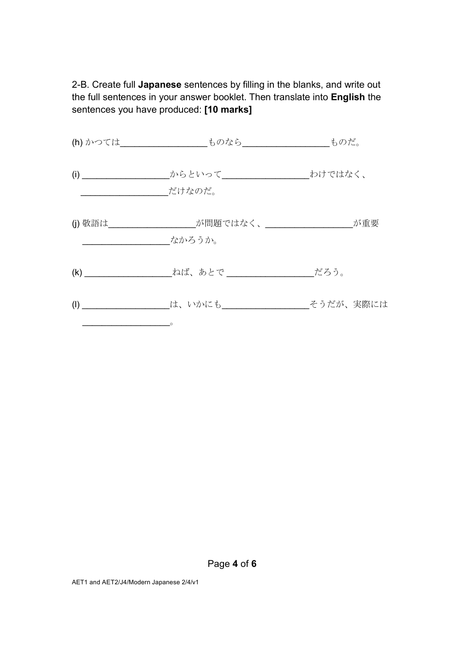2-B. Create full **Japanese** sentences by filling in the blanks, and write out the full sentences in your answer booklet. Then translate into **English** the sentences you have produced: **[10 marks]**

|                           | (h) かつては_________ ものなら________ ものだ。                      |           |
|---------------------------|----------------------------------------------------------|-----------|
| (i)                       | _からといって________________________________わけではなく、<br>だけなのだ。 |           |
|                           | (j) 敬語は しょうしゃ お問題ではなく、 しょうしゃ が重要<br>なかろうか。               |           |
| (k)                       |                                                          | だろう。      |
| $\left(\mathsf{I}\right)$ | は、いかにも                                                   | そうだが、実際には |

Page **4** of **6**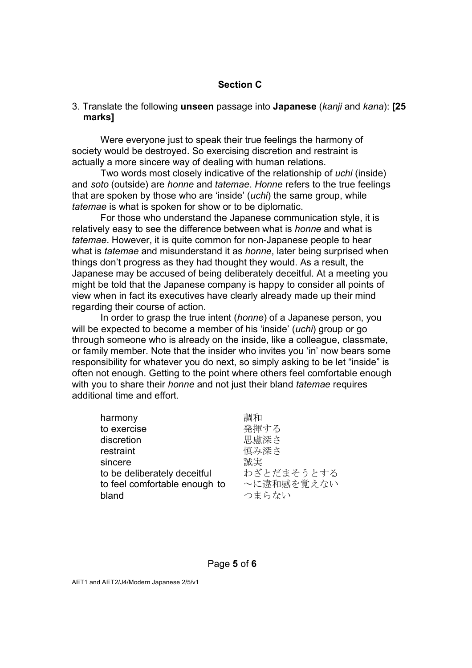#### **Section C**

#### 3. Translate the following **unseen** passage into **Japanese** (*kanji* and *kana*): **[25 marks]**

Were everyone just to speak their true feelings the harmony of society would be destroyed. So exercising discretion and restraint is actually a more sincere way of dealing with human relations.

Two words most closely indicative of the relationship of *uchi* (inside) and *soto* (outside) are *honne* and *tatemae*. *Honne* refers to the true feelings that are spoken by those who are 'inside' (*uchi*) the same group, while *tatemae* is what is spoken for show or to be diplomatic.

For those who understand the Japanese communication style, it is relatively easy to see the difference between what is *honne* and what is *tatemae*. However, it is quite common for non-Japanese people to hear what is *tatemae* and misunderstand it as *honne*, later being surprised when things don't progress as they had thought they would. As a result, the Japanese may be accused of being deliberately deceitful. At a meeting you might be told that the Japanese company is happy to consider all points of view when in fact its executives have clearly already made up their mind regarding their course of action.

In order to grasp the true intent (*honne*) of a Japanese person, you will be expected to become a member of his 'inside' (*uchi*) group or go through someone who is already on the inside, like a colleague, classmate, or family member. Note that the insider who invites you 'in' now bears some responsibility for whatever you do next, so simply asking to be let "inside" is often not enough. Getting to the point where others feel comfortable enough with you to share their *honne* and not just their bland *tatemae* requires additional time and effort.

| harmony                       | 調和         |
|-------------------------------|------------|
| to exercise                   | 発揮する       |
| discretion                    | 思慮深さ       |
| restraint                     | 慎み深さ       |
| sincere                       | 誠実         |
| to be deliberately deceitful  | わざとだまそうとする |
| to feel comfortable enough to | ~に違和感を覚えない |
| bland                         | つまらない      |
|                               |            |

Page **5** of **6** 

AET1 and AET2/J4/Modern Japanese 2/5/v1